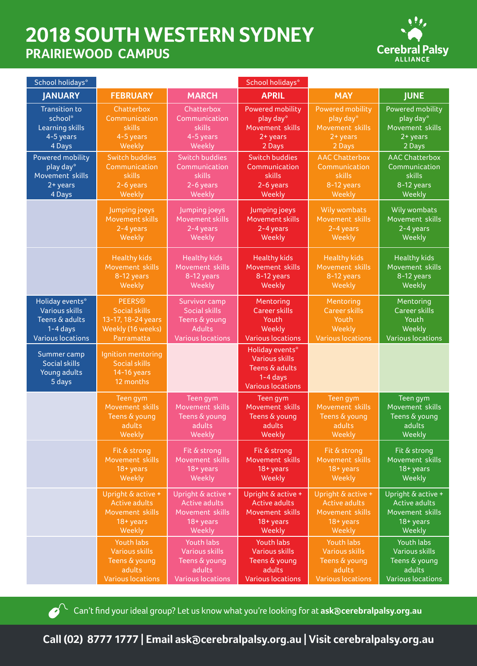## **2018 SOUTH WESTERN SYDNEY PRAIRIEWOOD CAMPUS**



| School holidays*                                              |                                                                        |                          | School holidays*                                                                                       |                          |                          |  |
|---------------------------------------------------------------|------------------------------------------------------------------------|--------------------------|--------------------------------------------------------------------------------------------------------|--------------------------|--------------------------|--|
| <b>JANUARY</b>                                                | <b>FEBRUARY</b>                                                        | <b>MARCH</b>             | <b>APRIL</b>                                                                                           | <b>MAY</b>               | <b>JUNE</b>              |  |
| <b>Transition to</b>                                          | Chatterbox                                                             | Chatterbox               | <b>Powered mobility</b>                                                                                | <b>Powered mobility</b>  | Powered mobility         |  |
| school*                                                       | Communication                                                          | Communication            | play day*                                                                                              | play day*                | play day*                |  |
| Learning skills                                               | skills                                                                 | skills                   | Movement skills                                                                                        | Movement skills          | Movement skills          |  |
| 4-5 years                                                     | 4-5 years                                                              | 4-5 years                | $2 + years$                                                                                            | $2 + years$              | 2+ years                 |  |
| 4 Days                                                        | Weekly                                                                 | Weekly                   | 2 Days                                                                                                 | 2 Days                   | 2 Days                   |  |
| Powered mobility                                              | <b>Switch buddies</b>                                                  | <b>Switch buddies</b>    | <b>Switch buddies</b>                                                                                  | <b>AAC Chatterbox</b>    | <b>AAC Chatterbox</b>    |  |
| play day*                                                     | Communication                                                          | Communication            | Communication                                                                                          | Communication            | Communication            |  |
| Movement skills                                               | skills                                                                 | skills                   | skills                                                                                                 | skills                   | skills                   |  |
| $2 + years$                                                   | 2-6 years                                                              | 2-6 years                | 2-6 years                                                                                              | 8-12 years               | 8-12 years               |  |
| 4 Days                                                        | Weekly                                                                 | Weekly                   | Weekly                                                                                                 | Weekly                   | Weekly                   |  |
|                                                               | Jumping joeys                                                          | Jumping joeys            | Jumping joeys                                                                                          | Wily wombats             | <b>Wily wombats</b>      |  |
|                                                               | Movement skills                                                        | Movement skills          | Movement skills                                                                                        | Movement skills          | Movement skills          |  |
|                                                               | 2-4 years                                                              | 2-4 years                | 2-4 years                                                                                              | 2-4 years                | 2-4 years                |  |
|                                                               | Weekly                                                                 | Weekly                   | Weekly                                                                                                 | Weekly                   | Weekly                   |  |
|                                                               | <b>Healthy kids</b>                                                    | <b>Healthy kids</b>      | <b>Healthy kids</b>                                                                                    | <b>Healthy kids</b>      | <b>Healthy kids</b>      |  |
|                                                               | Movement skills                                                        | Movement skills          | Movement skills                                                                                        | Movement skills          | Movement skills          |  |
|                                                               | 8-12 years                                                             | 8-12 years               | 8-12 years                                                                                             | 8-12 years               | $8-12$ years             |  |
|                                                               | Weekly                                                                 | Weekly                   | Weekly                                                                                                 | Weekly                   | Weekly                   |  |
| Holiday events*                                               | <b>PEERS®</b>                                                          | Survivor camp            | Mentoring                                                                                              | Mentoring                | Mentoring                |  |
| <b>Various skills</b>                                         | <b>Social skills</b>                                                   | <b>Social skills</b>     | <b>Career skills</b>                                                                                   | <b>Career skills</b>     | <b>Career skills</b>     |  |
| Teens & adults                                                | 13-17, 18-24 years                                                     | Teens & young            | Youth                                                                                                  | Youth                    | Youth                    |  |
| $1 - 4$ days                                                  | Weekly (16 weeks)                                                      | <b>Adults</b>            | Weekly                                                                                                 | Weekly                   | Weekly                   |  |
| <b>Various locations</b>                                      | Parramatta                                                             | <b>Various locations</b> | <b>Various locations</b>                                                                               | <b>Various locations</b> | <b>Various locations</b> |  |
| Summer camp<br><b>Social skills</b><br>Young adults<br>5 days | Ignition mentoring<br><b>Social skills</b><br>14-16 years<br>12 months |                          | Holiday events*<br><b>Various skills</b><br>Teens & adults<br>$1 - 4$ days<br><b>Various locations</b> |                          |                          |  |
|                                                               | Teen gym                                                               | Teen gym                 | Teen gym                                                                                               | Teen gym                 | Teen gym                 |  |
|                                                               | Movement skills                                                        | Movement skills          | Movement skills                                                                                        | Movement skills          | Movement skills          |  |
|                                                               | Teens & young                                                          | Teens & young            | Teens & young                                                                                          | <b>Teens &amp; young</b> | Teens & young            |  |
|                                                               | adults                                                                 | adults                   | adults                                                                                                 | adults                   | adults                   |  |
|                                                               | Weekly                                                                 | Weekly                   | Weekly                                                                                                 | Weekly                   | Weekly                   |  |
|                                                               | Fit & strong                                                           | Fit & strong             | Fit & strong                                                                                           | Fit & strong             | Fit & strong             |  |
|                                                               | Movement skills                                                        | Movement skills          | Movement skills                                                                                        | Movement skills          | Movement skills          |  |
|                                                               | 18+ years                                                              | 18+ years                | $18 + years$                                                                                           | 18+ years                | $18 + years$             |  |
|                                                               | Weekly                                                                 | Weekly                   | Weekly                                                                                                 | Weekly                   | Weekly                   |  |
|                                                               | Upright & active +                                                     | Upright & active +       | Upright & active +                                                                                     | Upright & active +       | Upright & active +       |  |
|                                                               | <b>Active adults</b>                                                   | <b>Active adults</b>     | <b>Active adults</b>                                                                                   | <b>Active adults</b>     | <b>Active adults</b>     |  |
|                                                               | Movement skills                                                        | Movement skills          | Movement skills                                                                                        | Movement skills          | Movement skills          |  |
|                                                               | 18+ years                                                              | 18+ years                | $18 + years$                                                                                           | 18+ years                | $18 + years$             |  |
|                                                               | Weekly                                                                 | Weekly                   | Weekly                                                                                                 | Weekly                   | Weekly                   |  |
|                                                               | Youth labs                                                             | Youth labs               | <b>Youth labs</b>                                                                                      | Youth labs               | Youth labs               |  |
|                                                               | <b>Various skills</b>                                                  | Various skills           | <b>Various skills</b>                                                                                  | <b>Various skills</b>    | <b>Various skills</b>    |  |
|                                                               | Teens & young                                                          | Teens & young            | Teens & young                                                                                          | Teens & young            | Teens & young            |  |
|                                                               | adults                                                                 | adults                   | adults                                                                                                 | adults                   | adults                   |  |
|                                                               | <b>Various locations</b>                                               | <b>Various locations</b> | <b>Various locations</b>                                                                               | <b>Various locations</b> | <b>Various locations</b> |  |

Can't find your ideal group? Let us know what you're looking for at **ask@cerebralpalsy.org.au** 

**Call (02) 8777 1777 | Email ask@cerebralpalsy.org.au | Visit cerebralpalsy.org.au**